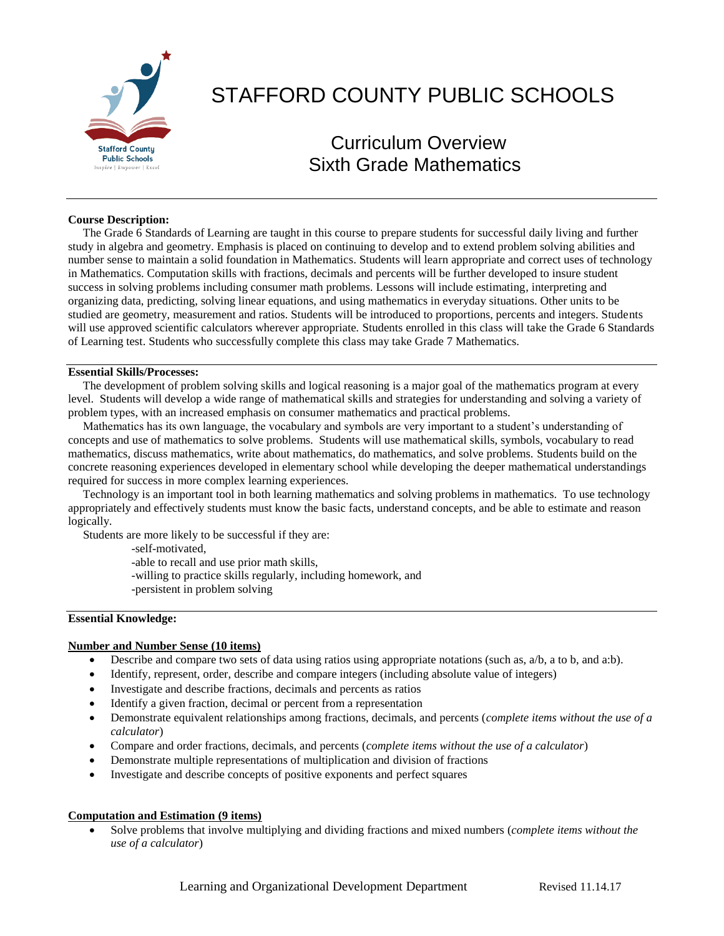

# STAFFORD COUNTY PUBLIC SCHOOLS

# Curriculum Overview Sixth Grade Mathematics

#### **Course Description:**

 The Grade 6 Standards of Learning are taught in this course to prepare students for successful daily living and further study in algebra and geometry. Emphasis is placed on continuing to develop and to extend problem solving abilities and number sense to maintain a solid foundation in Mathematics. Students will learn appropriate and correct uses of technology in Mathematics. Computation skills with fractions, decimals and percents will be further developed to insure student success in solving problems including consumer math problems. Lessons will include estimating, interpreting and organizing data, predicting, solving linear equations, and using mathematics in everyday situations. Other units to be studied are geometry, measurement and ratios. Students will be introduced to proportions, percents and integers. Students will use approved scientific calculators wherever appropriate. Students enrolled in this class will take the Grade 6 Standards of Learning test. Students who successfully complete this class may take Grade 7 Mathematics.

#### **Essential Skills/Processes:**

 The development of problem solving skills and logical reasoning is a major goal of the mathematics program at every level. Students will develop a wide range of mathematical skills and strategies for understanding and solving a variety of problem types, with an increased emphasis on consumer mathematics and practical problems.

 Mathematics has its own language, the vocabulary and symbols are very important to a student's understanding of concepts and use of mathematics to solve problems. Students will use mathematical skills, symbols, vocabulary to read mathematics, discuss mathematics, write about mathematics, do mathematics, and solve problems. Students build on the concrete reasoning experiences developed in elementary school while developing the deeper mathematical understandings required for success in more complex learning experiences.

 Technology is an important tool in both learning mathematics and solving problems in mathematics. To use technology appropriately and effectively students must know the basic facts, understand concepts, and be able to estimate and reason logically.

Students are more likely to be successful if they are:

-self-motivated,

-able to recall and use prior math skills,

-willing to practice skills regularly, including homework, and

-persistent in problem solving

#### **Essential Knowledge:**

#### **Number and Number Sense (10 items)**

- Describe and compare two sets of data using ratios using appropriate notations (such as,  $a/b$ , a to b, and a:b).
- Identify, represent, order, describe and compare integers (including absolute value of integers)
- Investigate and describe fractions, decimals and percents as ratios
- Identify a given fraction, decimal or percent from a representation
- Demonstrate equivalent relationships among fractions, decimals, and percents (*complete items without the use of a calculator*)
- Compare and order fractions, decimals, and percents (*complete items without the use of a calculator*)
- Demonstrate multiple representations of multiplication and division of fractions
- Investigate and describe concepts of positive exponents and perfect squares

#### **Computation and Estimation (9 items)**

 Solve problems that involve multiplying and dividing fractions and mixed numbers (*complete items without the use of a calculator*)